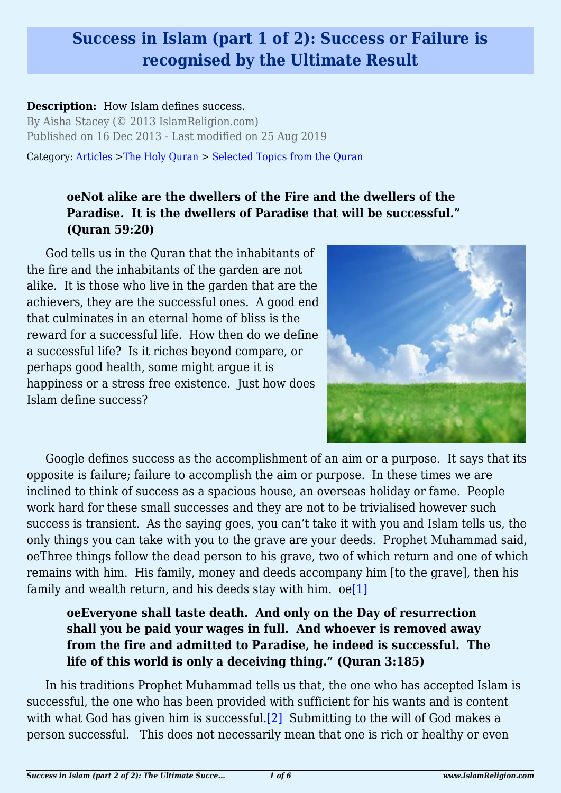## **Success in Islam (part 1 of 2): Success or Failure is recognised by the Ultimate Result**

#### **Description:** How Islam defines success.

By Aisha Stacey (© 2013 IslamReligion.com) Published on 16 Dec 2013 - Last modified on 25 Aug 2019

Category: [Articles](http://www.islamreligion.com/articles/) >[The Holy Quran](http://www.islamreligion.com/category/75/) > [Selected Topics from the Quran](http://www.islamreligion.com/category/76/)

### **oeNot alike are the dwellers of the Fire and the dwellers of the Paradise. It is the dwellers of Paradise that will be successful." (Quran 59:20)**

God tells us in the Quran that the inhabitants of the fire and the inhabitants of the garden are not alike. It is those who live in the garden that are the achievers, they are the successful ones. A good end that culminates in an eternal home of bliss is the reward for a successful life. How then do we define a successful life? Is it riches beyond compare, or perhaps good health, some might argue it is happiness or a stress free existence. Just how does Islam define success?



Google defines success as the accomplishment of an aim or a purpose. It says that its opposite is failure; failure to accomplish the aim or purpose. In these times we are inclined to think of success as a spacious house, an overseas holiday or fame. People work hard for these small successes and they are not to be trivialised however such success is transient. As the saying goes, you can't take it with you and Islam tells us, the only things you can take with you to the grave are your deeds. Prophet Muhammad said, oeThree things follow the dead person to his grave, two of which return and one of which remains with him. His family, money and deeds accompany him [to the grave], then his family and wealth return, and his deeds stay with him.  $oe[1]$  $oe[1]$ 

### <span id="page-0-0"></span>**oeEveryone shall taste death. And only on the Day of resurrection shall you be paid your wages in full. And whoever is removed away from the fire and admitted to Paradise, he indeed is successful. The life of this world is only a deceiving thing." (Quran 3:185)**

<span id="page-0-1"></span>In his traditions Prophet Muhammad tells us that, the one who has accepted Islam is successful, the one who has been provided with sufficient for his wants and is content with what God has given him is successful.<sup>[2]</sup> Submitting to the will of God makes a person successful. This does not necessarily mean that one is rich or healthy or even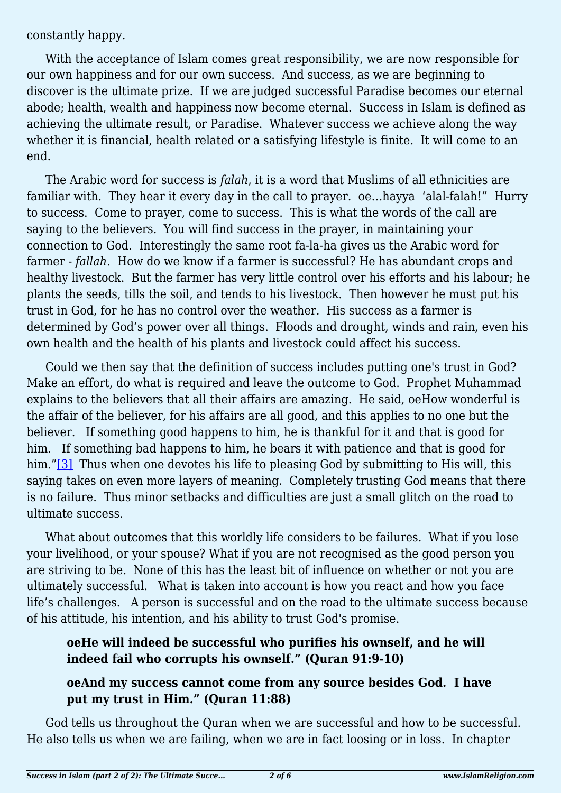constantly happy.

With the acceptance of Islam comes great responsibility, we are now responsible for our own happiness and for our own success. And success, as we are beginning to discover is the ultimate prize. If we are judged successful Paradise becomes our eternal abode; health, wealth and happiness now become eternal. Success in Islam is defined as achieving the ultimate result, or Paradise. Whatever success we achieve along the way whether it is financial, health related or a satisfying lifestyle is finite. It will come to an end.

The Arabic word for success is *falah*, it is a word that Muslims of all ethnicities are familiar with. They hear it every day in the call to prayer. oe…hayya 'alal-falah!" Hurry to success. Come to prayer, come to success. This is what the words of the call are saying to the believers. You will find success in the prayer, in maintaining your connection to God. Interestingly the same root fa-la-ha gives us the Arabic word for farmer - *fallah*. How do we know if a farmer is successful? He has abundant crops and healthy livestock. But the farmer has very little control over his efforts and his labour; he plants the seeds, tills the soil, and tends to his livestock. Then however he must put his trust in God, for he has no control over the weather. His success as a farmer is determined by God's power over all things. Floods and drought, winds and rain, even his own health and the health of his plants and livestock could affect his success.

Could we then say that the definition of success includes putting one's trust in God? Make an effort, do what is required and leave the outcome to God. Prophet Muhammad explains to the believers that all their affairs are amazing. He said, oeHow wonderful is the affair of the believer, for his affairs are all good, and this applies to no one but the believer. If something good happens to him, he is thankful for it and that is good for him. If something bad happens to him, he bears it with patience and that is good for him.["\[3\]](#page-2-2) Thus when one devotes his life to pleasing God by submitting to His will, this saying takes on even more layers of meaning. Completely trusting God means that there is no failure. Thus minor setbacks and difficulties are just a small glitch on the road to ultimate success.

<span id="page-1-0"></span>What about outcomes that this worldly life considers to be failures. What if you lose your livelihood, or your spouse? What if you are not recognised as the good person you are striving to be. None of this has the least bit of influence on whether or not you are ultimately successful. What is taken into account is how you react and how you face life's challenges. A person is successful and on the road to the ultimate success because of his attitude, his intention, and his ability to trust God's promise.

### **oeHe will indeed be successful who purifies his ownself, and he will indeed fail who corrupts his ownself." (Quran 91:9-10)**

#### **oeAnd my success cannot come from any source besides God. I have put my trust in Him." (Quran 11:88)**

God tells us throughout the Quran when we are successful and how to be successful. He also tells us when we are failing, when we are in fact loosing or in loss. In chapter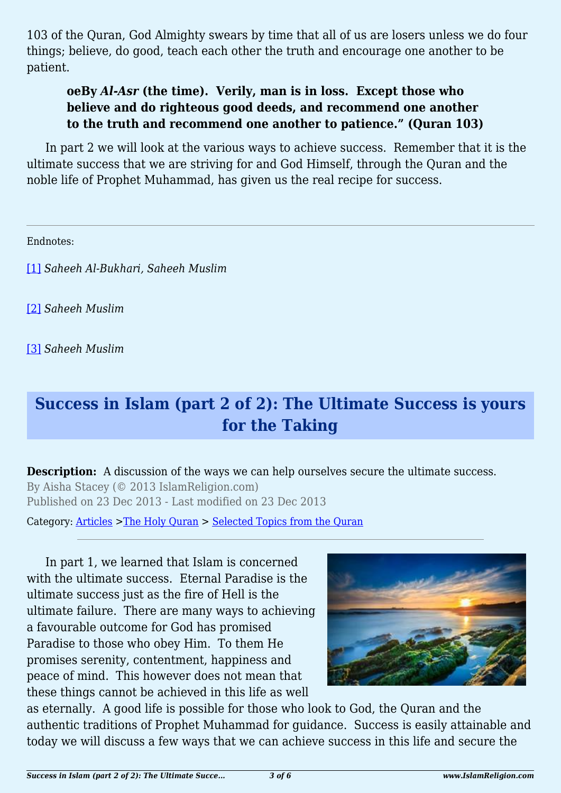103 of the Quran, God Almighty swears by time that all of us are losers unless we do four things; believe, do good, teach each other the truth and encourage one another to be patient.

### **oeBy** *Al-Asr* **(the time). Verily, man is in loss. Except those who believe and do righteous good deeds, and recommend one another to the truth and recommend one another to patience." (Quran 103)**

In part 2 we will look at the various ways to achieve success. Remember that it is the ultimate success that we are striving for and God Himself, through the Quran and the noble life of Prophet Muhammad, has given us the real recipe for success.

Endnotes:

<span id="page-2-0"></span>[\[1\]](#page-0-0) *Saheeh Al-Bukhari, Saheeh Muslim*

<span id="page-2-1"></span>[\[2\]](#page-0-1) *Saheeh Muslim*

<span id="page-2-2"></span>[\[3\]](#page-1-0) *Saheeh Muslim*

# **Success in Islam (part 2 of 2): The Ultimate Success is yours for the Taking**

**Description:** A discussion of the ways we can help ourselves secure the ultimate success. By Aisha Stacey (© 2013 IslamReligion.com) Published on 23 Dec 2013 - Last modified on 23 Dec 2013

Category: [Articles](http://www.islamreligion.com/articles/) >[The Holy Quran](http://www.islamreligion.com/category/75/) > [Selected Topics from the Quran](http://www.islamreligion.com/category/76/)

In part 1, we learned that Islam is concerned with the ultimate success. Eternal Paradise is the ultimate success just as the fire of Hell is the ultimate failure. There are many ways to achieving a favourable outcome for God has promised Paradise to those who obey Him. To them He promises serenity, contentment, happiness and peace of mind. This however does not mean that these things cannot be achieved in this life as well



as eternally. A good life is possible for those who look to God, the Quran and the authentic traditions of Prophet Muhammad for guidance. Success is easily attainable and today we will discuss a few ways that we can achieve success in this life and secure the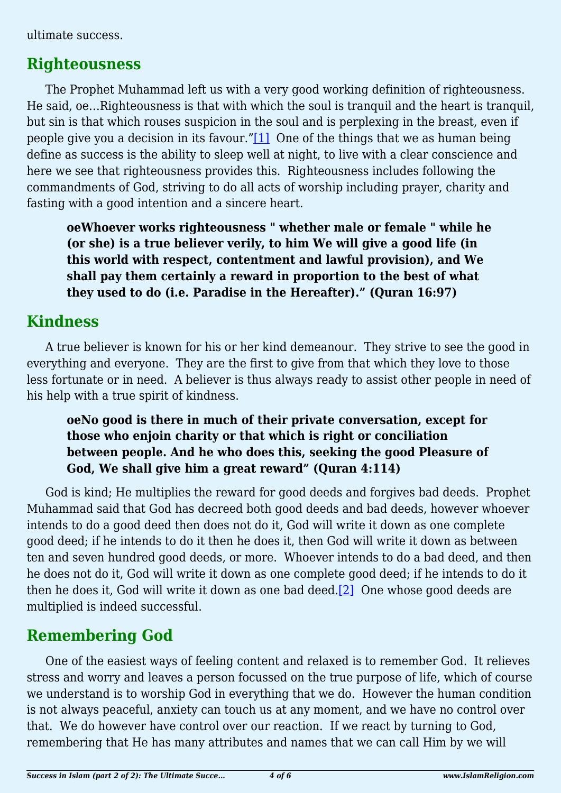ultimate success.

## **Righteousness**

<span id="page-3-0"></span>The Prophet Muhammad left us with a very good working definition of righteousness. He said, oe…Righteousness is that with which the soul is tranquil and the heart is tranquil, but sin is that which rouses suspicion in the soul and is perplexing in the breast, even if people give you a decision in its favour." $[1]$  One of the things that we as human being define as success is the ability to sleep well at night, to live with a clear conscience and here we see that righteousness provides this. Righteousness includes following the commandments of God, striving to do all acts of worship including prayer, charity and fasting with a good intention and a sincere heart.

**oeWhoever works righteousness " whether male or female " while he (or she) is a true believer verily, to him We will give a good life (in this world with respect, contentment and lawful provision), and We shall pay them certainly a reward in proportion to the best of what they used to do (i.e. Paradise in the Hereafter)." (Quran 16:97)**

## **Kindness**

A true believer is known for his or her kind demeanour. They strive to see the good in everything and everyone. They are the first to give from that which they love to those less fortunate or in need. A believer is thus always ready to assist other people in need of his help with a true spirit of kindness.

### **oeNo good is there in much of their private conversation, except for those who enjoin charity or that which is right or conciliation between people. And he who does this, seeking the good Pleasure of God, We shall give him a great reward" (Quran 4:114)**

God is kind; He multiplies the reward for good deeds and forgives bad deeds. Prophet Muhammad said that God has decreed both good deeds and bad deeds, however whoever intends to do a good deed then does not do it, God will write it down as one complete good deed; if he intends to do it then he does it, then God will write it down as between ten and seven hundred good deeds, or more. Whoever intends to do a bad deed, and then he does not do it, God will write it down as one complete good deed; if he intends to do it then he does it, God will write it down as one bad deed[.\[2\]](#page-5-1) One whose good deeds are multiplied is indeed successful.

## <span id="page-3-1"></span>**Remembering God**

One of the easiest ways of feeling content and relaxed is to remember God. It relieves stress and worry and leaves a person focussed on the true purpose of life, which of course we understand is to worship God in everything that we do. However the human condition is not always peaceful, anxiety can touch us at any moment, and we have no control over that. We do however have control over our reaction. If we react by turning to God, remembering that He has many attributes and names that we can call Him by we will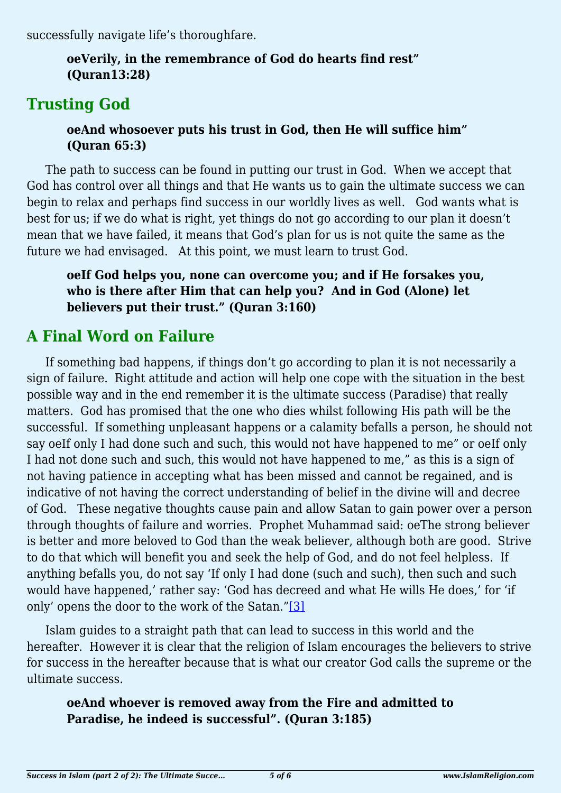successfully navigate life's thoroughfare.

### **oeVerily, in the remembrance of God do hearts find rest" (Quran13:28)**

## **Trusting God**

### **oeAnd whosoever puts his trust in God, then He will suffice him" (Quran 65:3)**

The path to success can be found in putting our trust in God. When we accept that God has control over all things and that He wants us to gain the ultimate success we can begin to relax and perhaps find success in our worldly lives as well. God wants what is best for us; if we do what is right, yet things do not go according to our plan it doesn't mean that we have failed, it means that God's plan for us is not quite the same as the future we had envisaged. At this point, we must learn to trust God.

### **oeIf God helps you, none can overcome you; and if He forsakes you, who is there after Him that can help you? And in God (Alone) let believers put their trust." (Quran 3:160)**

# **A Final Word on Failure**

If something bad happens, if things don't go according to plan it is not necessarily a sign of failure. Right attitude and action will help one cope with the situation in the best possible way and in the end remember it is the ultimate success (Paradise) that really matters. God has promised that the one who dies whilst following His path will be the successful. If something unpleasant happens or a calamity befalls a person, he should not say oeIf only I had done such and such, this would not have happened to me" or oeIf only I had not done such and such, this would not have happened to me," as this is a sign of not having patience in accepting what has been missed and cannot be regained, and is indicative of not having the correct understanding of belief in the divine will and decree of God. These negative thoughts cause pain and allow Satan to gain power over a person through thoughts of failure and worries. Prophet Muhammad said: oeThe strong believer is better and more beloved to God than the weak believer, although both are good. Strive to do that which will benefit you and seek the help of God, and do not feel helpless. If anything befalls you, do not say 'If only I had done (such and such), then such and such would have happened,' rather say: 'God has decreed and what He wills He does,' for 'if only' opens the door to the work of the Satan."[\[3\]](#page-5-2)

<span id="page-4-0"></span>Islam guides to a straight path that can lead to success in this world and the hereafter. However it is clear that the religion of Islam encourages the believers to strive for success in the hereafter because that is what our creator God calls the supreme or the ultimate success.

### **oeAnd whoever is removed away from the Fire and admitted to Paradise, he indeed is successful". (Quran 3:185)**